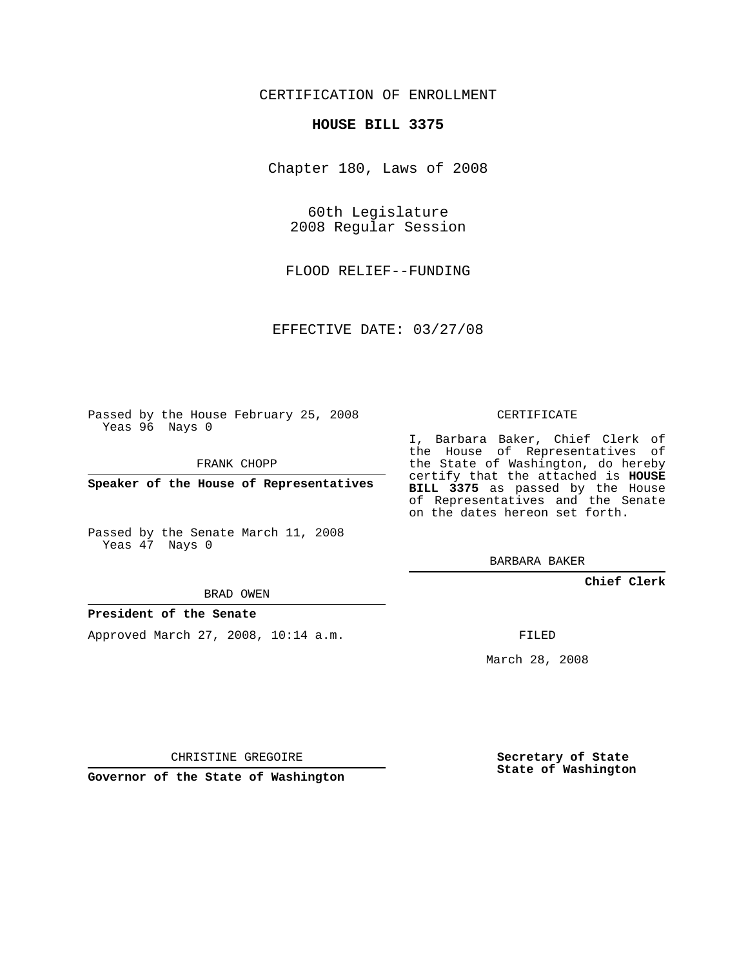## CERTIFICATION OF ENROLLMENT

### **HOUSE BILL 3375**

Chapter 180, Laws of 2008

60th Legislature 2008 Regular Session

FLOOD RELIEF--FUNDING

EFFECTIVE DATE: 03/27/08

Passed by the House February 25, 2008 Yeas 96 Nays 0

FRANK CHOPP

**Speaker of the House of Representatives**

Passed by the Senate March 11, 2008 Yeas 47 Nays 0

#### BRAD OWEN

### **President of the Senate**

Approved March 27, 2008, 10:14 a.m.

CERTIFICATE

I, Barbara Baker, Chief Clerk of the House of Representatives of the State of Washington, do hereby certify that the attached is **HOUSE BILL 3375** as passed by the House of Representatives and the Senate on the dates hereon set forth.

BARBARA BAKER

**Chief Clerk**

FILED

March 28, 2008

CHRISTINE GREGOIRE

**Governor of the State of Washington**

**Secretary of State State of Washington**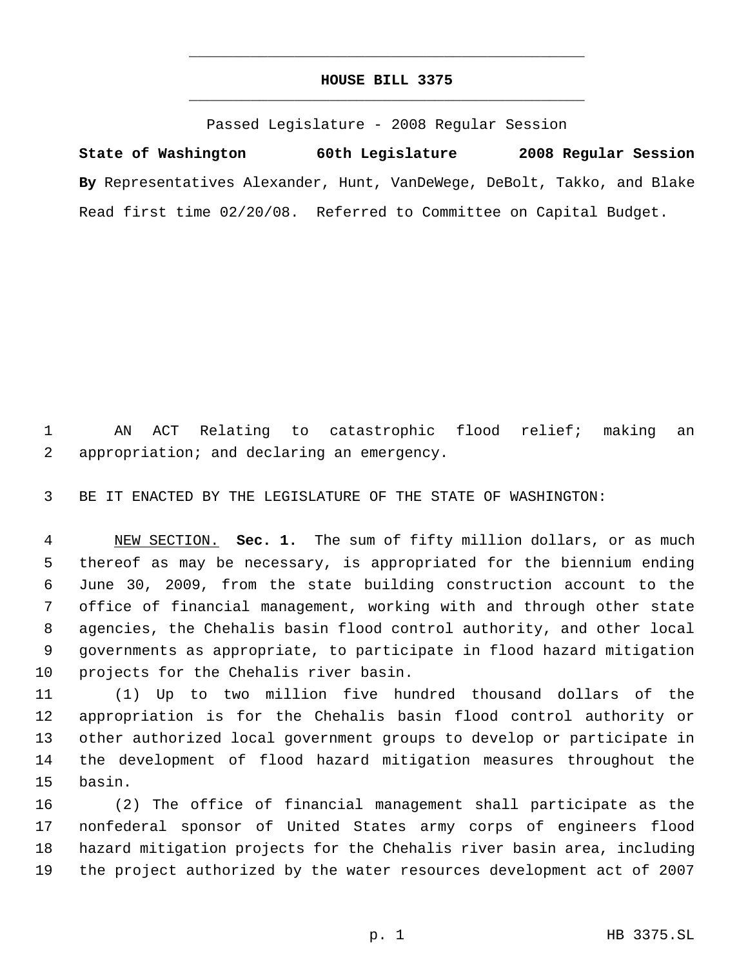# **HOUSE BILL 3375** \_\_\_\_\_\_\_\_\_\_\_\_\_\_\_\_\_\_\_\_\_\_\_\_\_\_\_\_\_\_\_\_\_\_\_\_\_\_\_\_\_\_\_\_\_

\_\_\_\_\_\_\_\_\_\_\_\_\_\_\_\_\_\_\_\_\_\_\_\_\_\_\_\_\_\_\_\_\_\_\_\_\_\_\_\_\_\_\_\_\_

Passed Legislature - 2008 Regular Session

**State of Washington 60th Legislature 2008 Regular Session By** Representatives Alexander, Hunt, VanDeWege, DeBolt, Takko, and Blake Read first time 02/20/08. Referred to Committee on Capital Budget.

 AN ACT Relating to catastrophic flood relief; making an appropriation; and declaring an emergency.

BE IT ENACTED BY THE LEGISLATURE OF THE STATE OF WASHINGTON:

 NEW SECTION. **Sec. 1.** The sum of fifty million dollars, or as much thereof as may be necessary, is appropriated for the biennium ending June 30, 2009, from the state building construction account to the office of financial management, working with and through other state agencies, the Chehalis basin flood control authority, and other local governments as appropriate, to participate in flood hazard mitigation projects for the Chehalis river basin.

 (1) Up to two million five hundred thousand dollars of the appropriation is for the Chehalis basin flood control authority or other authorized local government groups to develop or participate in the development of flood hazard mitigation measures throughout the basin.

 (2) The office of financial management shall participate as the nonfederal sponsor of United States army corps of engineers flood hazard mitigation projects for the Chehalis river basin area, including the project authorized by the water resources development act of 2007